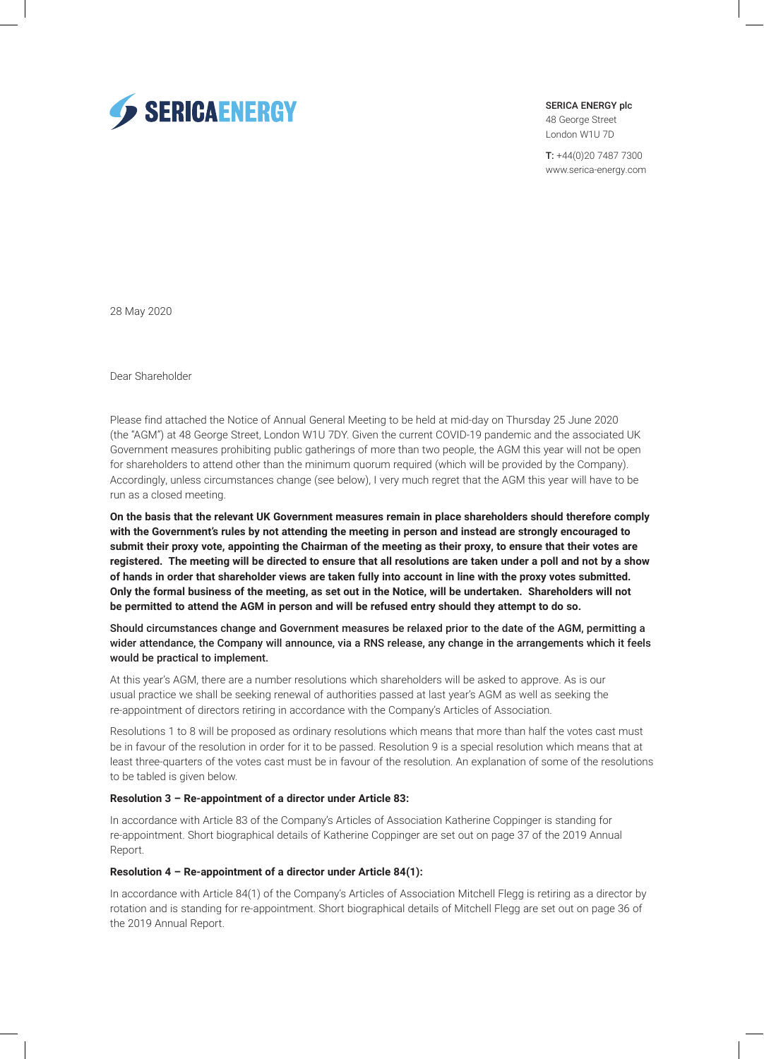

SERICA ENERGY plc

48 George Street London W1U 7D

T: +44(0)20 7487 7300 www.serica-energy.com

28 May 2020

Dear Shareholder

Please find attached the Notice of Annual General Meeting to be held at mid-day on Thursday 25 June 2020 (the "AGM") at 48 George Street, London W1U 7DY. Given the current COVID-19 pandemic and the associated UK Government measures prohibiting public gatherings of more than two people, the AGM this year will not be open for shareholders to attend other than the minimum quorum required (which will be provided by the Company). Accordingly, unless circumstances change (see below), I very much regret that the AGM this year will have to be run as a closed meeting.

**On the basis that the relevant UK Government measures remain in place shareholders should therefore comply with the Government's rules by not attending the meeting in person and instead are strongly encouraged to submit their proxy vote, appointing the Chairman of the meeting as their proxy, to ensure that their votes are registered. The meeting will be directed to ensure that all resolutions are taken under a poll and not by a show of hands in order that shareholder views are taken fully into account in line with the proxy votes submitted. Only the formal business of the meeting, as set out in the Notice, will be undertaken. Shareholders will not be permitted to attend the AGM in person and will be refused entry should they attempt to do so.**

Should circumstances change and Government measures be relaxed prior to the date of the AGM, permitting a wider attendance, the Company will announce, via a RNS release, any change in the arrangements which it feels would be practical to implement.

At this year's AGM, there are a number resolutions which shareholders will be asked to approve. As is our usual practice we shall be seeking renewal of authorities passed at last year's AGM as well as seeking the re-appointment of directors retiring in accordance with the Company's Articles of Association.

Resolutions 1 to 8 will be proposed as ordinary resolutions which means that more than half the votes cast must be in favour of the resolution in order for it to be passed. Resolution 9 is a special resolution which means that at least three-quarters of the votes cast must be in favour of the resolution. An explanation of some of the resolutions to be tabled is given below.

#### **Resolution 3 – Re-appointment of a director under Article 83:**

In accordance with Article 83 of the Company's Articles of Association Katherine Coppinger is standing for re-appointment. Short biographical details of Katherine Coppinger are set out on page 37 of the 2019 Annual Report.

# **Resolution 4 – Re-appointment of a director under Article 84(1):**

In accordance with Article 84(1) of the Company's Articles of Association Mitchell Flegg is retiring as a director by rotation and is standing for re-appointment. Short biographical details of Mitchell Flegg are set out on page 36 of the 2019 Annual Report.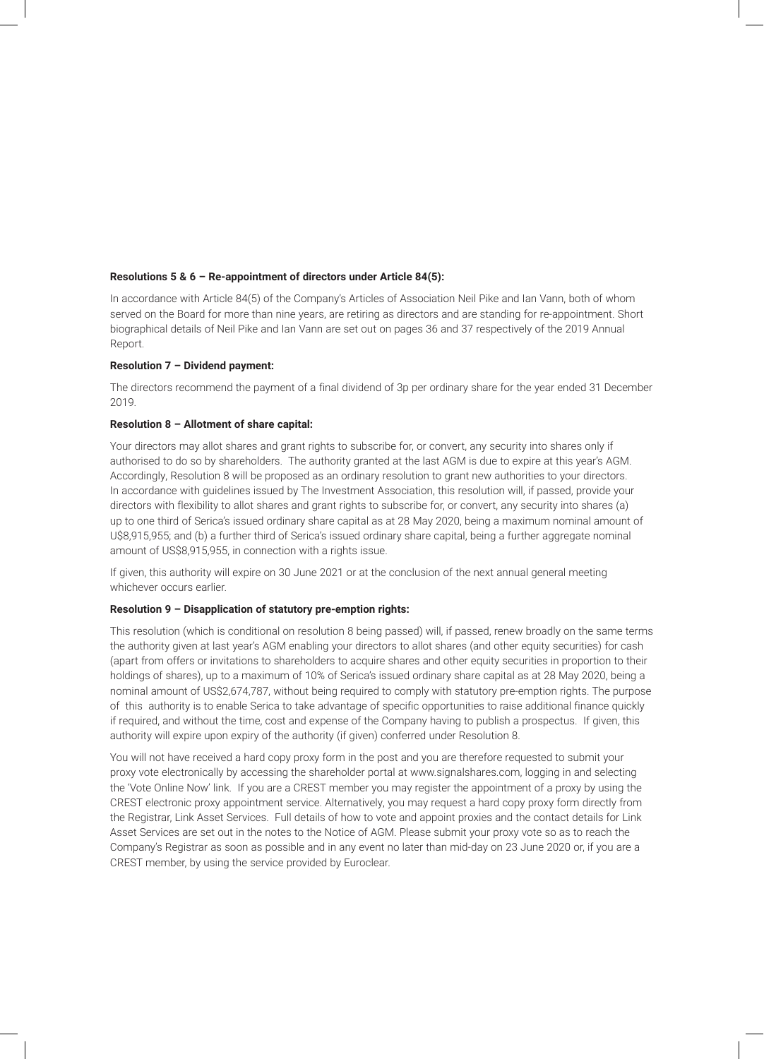## **Resolutions 5 & 6 – Re-appointment of directors under Article 84(5):**

In accordance with Article 84(5) of the Company's Articles of Association Neil Pike and Ian Vann, both of whom served on the Board for more than nine years, are retiring as directors and are standing for re-appointment. Short biographical details of Neil Pike and Ian Vann are set out on pages 36 and 37 respectively of the 2019 Annual Report.

# **Resolution 7 – Dividend payment:**

The directors recommend the payment of a final dividend of 3p per ordinary share for the year ended 31 December 2019.

# **Resolution 8 – Allotment of share capital:**

Your directors may allot shares and grant rights to subscribe for, or convert, any security into shares only if authorised to do so by shareholders. The authority granted at the last AGM is due to expire at this year's AGM. Accordingly, Resolution 8 will be proposed as an ordinary resolution to grant new authorities to your directors. In accordance with guidelines issued by The Investment Association, this resolution will, if passed, provide your directors with flexibility to allot shares and grant rights to subscribe for, or convert, any security into shares (a) up to one third of Serica's issued ordinary share capital as at 28 May 2020, being a maximum nominal amount of U\$8,915,955; and (b) a further third of Serica's issued ordinary share capital, being a further aggregate nominal amount of US\$8,915,955, in connection with a rights issue.

If given, this authority will expire on 30 June 2021 or at the conclusion of the next annual general meeting whichever occurs earlier.

#### **Resolution 9 – Disapplication of statutory pre-emption rights:**

This resolution (which is conditional on resolution 8 being passed) will, if passed, renew broadly on the same terms the authority given at last year's AGM enabling your directors to allot shares (and other equity securities) for cash (apart from offers or invitations to shareholders to acquire shares and other equity securities in proportion to their holdings of shares), up to a maximum of 10% of Serica's issued ordinary share capital as at 28 May 2020, being a nominal amount of US\$2,674,787, without being required to comply with statutory pre-emption rights. The purpose of this authority is to enable Serica to take advantage of specific opportunities to raise additional finance quickly if required, and without the time, cost and expense of the Company having to publish a prospectus. If given, this authority will expire upon expiry of the authority (if given) conferred under Resolution 8.

You will not have received a hard copy proxy form in the post and you are therefore requested to submit your proxy vote electronically by accessing the shareholder portal at www.signalshares.com, logging in and selecting the 'Vote Online Now' link. If you are a CREST member you may register the appointment of a proxy by using the CREST electronic proxy appointment service. Alternatively, you may request a hard copy proxy form directly from the Registrar, Link Asset Services. Full details of how to vote and appoint proxies and the contact details for Link Asset Services are set out in the notes to the Notice of AGM. Please submit your proxy vote so as to reach the Company's Registrar as soon as possible and in any event no later than mid-day on 23 June 2020 or, if you are a CREST member, by using the service provided by Euroclear.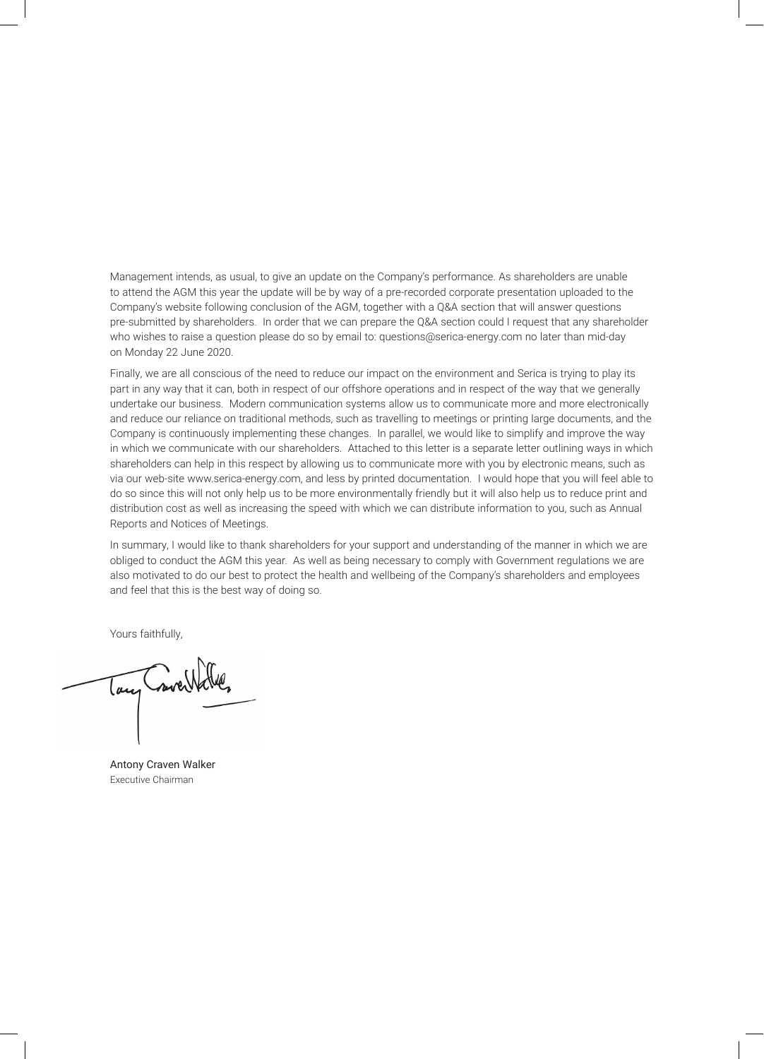Management intends, as usual, to give an update on the Company's performance. As shareholders are unable to attend the AGM this year the update will be by way of a pre-recorded corporate presentation uploaded to the Company's website following conclusion of the AGM, together with a Q&A section that will answer questions pre-submitted by shareholders. In order that we can prepare the Q&A section could I request that any shareholder who wishes to raise a question please do so by email to: questions@serica-energy.com no later than mid-day on Monday 22 June 2020.

Finally, we are all conscious of the need to reduce our impact on the environment and Serica is trying to play its part in any way that it can, both in respect of our offshore operations and in respect of the way that we generally undertake our business. Modern communication systems allow us to communicate more and more electronically and reduce our reliance on traditional methods, such as travelling to meetings or printing large documents, and the Company is continuously implementing these changes. In parallel, we would like to simplify and improve the way in which we communicate with our shareholders. Attached to this letter is a separate letter outlining ways in which shareholders can help in this respect by allowing us to communicate more with you by electronic means, such as via our web-site www.serica-energy.com, and less by printed documentation. I would hope that you will feel able to do so since this will not only help us to be more environmentally friendly but it will also help us to reduce print and distribution cost as well as increasing the speed with which we can distribute information to you, such as Annual Reports and Notices of Meetings.

In summary, I would like to thank shareholders for your support and understanding of the manner in which we are obliged to conduct the AGM this year. As well as being necessary to comply with Government regulations we are also motivated to do our best to protect the health and wellbeing of the Company's shareholders and employees and feel that this is the best way of doing so.

Yours faithfully,

mett lan

Antony Craven Walker Executive Chairman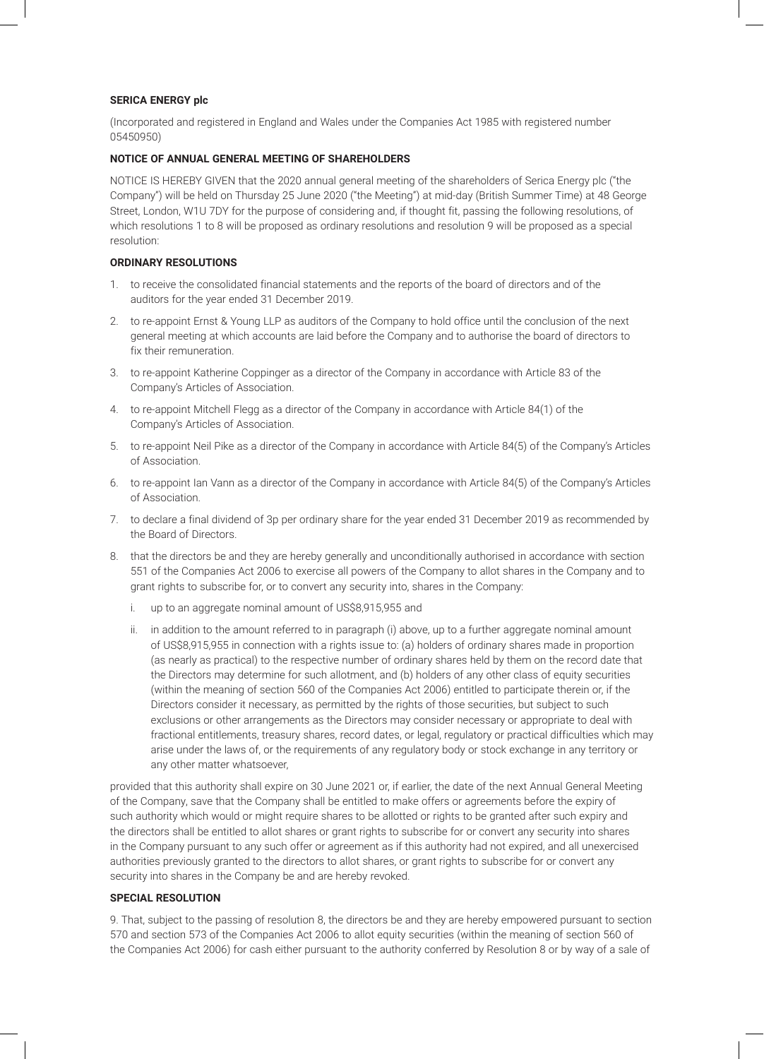## **SERICA ENERGY plc**

(Incorporated and registered in England and Wales under the Companies Act 1985 with registered number 05450950)

## **NOTICE OF ANNUAL GENERAL MEETING OF SHAREHOLDERS**

NOTICE IS HEREBY GIVEN that the 2020 annual general meeting of the shareholders of Serica Energy plc ("the Company") will be held on Thursday 25 June 2020 ("the Meeting") at mid-day (British Summer Time) at 48 George Street, London, W1U 7DY for the purpose of considering and, if thought fit, passing the following resolutions, of which resolutions 1 to 8 will be proposed as ordinary resolutions and resolution 9 will be proposed as a special resolution:

# **ORDINARY RESOLUTIONS**

- 1. to receive the consolidated financial statements and the reports of the board of directors and of the auditors for the year ended 31 December 2019.
- 2. to re-appoint Ernst & Young LLP as auditors of the Company to hold office until the conclusion of the next general meeting at which accounts are laid before the Company and to authorise the board of directors to fix their remuneration.
- 3. to re-appoint Katherine Coppinger as a director of the Company in accordance with Article 83 of the Company's Articles of Association.
- 4. to re-appoint Mitchell Flegg as a director of the Company in accordance with Article 84(1) of the Company's Articles of Association.
- 5. to re-appoint Neil Pike as a director of the Company in accordance with Article 84(5) of the Company's Articles of Association.
- 6. to re-appoint Ian Vann as a director of the Company in accordance with Article 84(5) of the Company's Articles of Association.
- 7. to declare a final dividend of 3p per ordinary share for the year ended 31 December 2019 as recommended by the Board of Directors.
- 8. that the directors be and they are hereby generally and unconditionally authorised in accordance with section 551 of the Companies Act 2006 to exercise all powers of the Company to allot shares in the Company and to grant rights to subscribe for, or to convert any security into, shares in the Company:
	- i. up to an aggregate nominal amount of US\$8,915,955 and
	- ii. in addition to the amount referred to in paragraph (i) above, up to a further aggregate nominal amount of US\$8,915,955 in connection with a rights issue to: (a) holders of ordinary shares made in proportion (as nearly as practical) to the respective number of ordinary shares held by them on the record date that the Directors may determine for such allotment, and (b) holders of any other class of equity securities (within the meaning of section 560 of the Companies Act 2006) entitled to participate therein or, if the Directors consider it necessary, as permitted by the rights of those securities, but subject to such exclusions or other arrangements as the Directors may consider necessary or appropriate to deal with fractional entitlements, treasury shares, record dates, or legal, regulatory or practical difficulties which may arise under the laws of, or the requirements of any regulatory body or stock exchange in any territory or any other matter whatsoever,

provided that this authority shall expire on 30 June 2021 or, if earlier, the date of the next Annual General Meeting of the Company, save that the Company shall be entitled to make offers or agreements before the expiry of such authority which would or might require shares to be allotted or rights to be granted after such expiry and the directors shall be entitled to allot shares or grant rights to subscribe for or convert any security into shares in the Company pursuant to any such offer or agreement as if this authority had not expired, and all unexercised authorities previously granted to the directors to allot shares, or grant rights to subscribe for or convert any security into shares in the Company be and are hereby revoked.

### **SPECIAL RESOLUTION**

9. That, subject to the passing of resolution 8, the directors be and they are hereby empowered pursuant to section 570 and section 573 of the Companies Act 2006 to allot equity securities (within the meaning of section 560 of the Companies Act 2006) for cash either pursuant to the authority conferred by Resolution 8 or by way of a sale of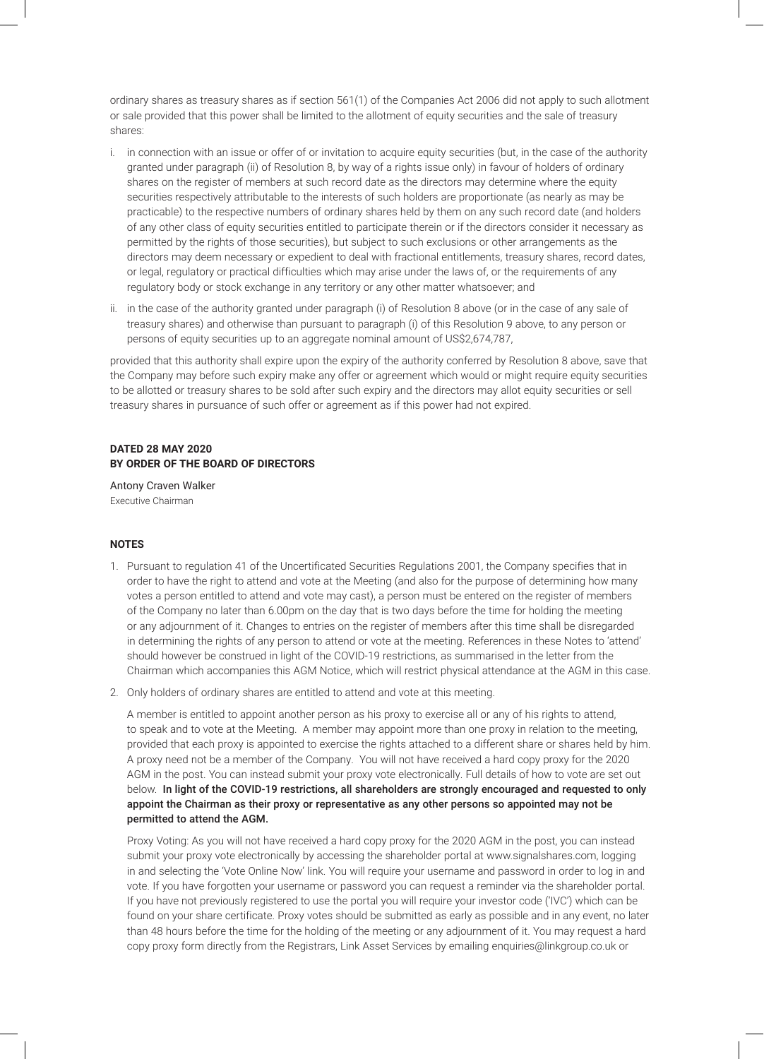ordinary shares as treasury shares as if section 561(1) of the Companies Act 2006 did not apply to such allotment or sale provided that this power shall be limited to the allotment of equity securities and the sale of treasury shares:

- i. in connection with an issue or offer of or invitation to acquire equity securities (but, in the case of the authority granted under paragraph (ii) of Resolution 8, by way of a rights issue only) in favour of holders of ordinary shares on the register of members at such record date as the directors may determine where the equity securities respectively attributable to the interests of such holders are proportionate (as nearly as may be practicable) to the respective numbers of ordinary shares held by them on any such record date (and holders of any other class of equity securities entitled to participate therein or if the directors consider it necessary as permitted by the rights of those securities), but subject to such exclusions or other arrangements as the directors may deem necessary or expedient to deal with fractional entitlements, treasury shares, record dates, or legal, regulatory or practical difficulties which may arise under the laws of, or the requirements of any regulatory body or stock exchange in any territory or any other matter whatsoever; and
- ii. in the case of the authority granted under paragraph (i) of Resolution 8 above (or in the case of any sale of treasury shares) and otherwise than pursuant to paragraph (i) of this Resolution 9 above, to any person or persons of equity securities up to an aggregate nominal amount of US\$2,674,787,

provided that this authority shall expire upon the expiry of the authority conferred by Resolution 8 above, save that the Company may before such expiry make any offer or agreement which would or might require equity securities to be allotted or treasury shares to be sold after such expiry and the directors may allot equity securities or sell treasury shares in pursuance of such offer or agreement as if this power had not expired.

# **DATED 28 MAY 2020 BY ORDER OF THE BOARD OF DIRECTORS**

Antony Craven Walker Executive Chairman

# **NOTES**

- 1. Pursuant to regulation 41 of the Uncertificated Securities Regulations 2001, the Company specifies that in order to have the right to attend and vote at the Meeting (and also for the purpose of determining how many votes a person entitled to attend and vote may cast), a person must be entered on the register of members of the Company no later than 6.00pm on the day that is two days before the time for holding the meeting or any adjournment of it. Changes to entries on the register of members after this time shall be disregarded in determining the rights of any person to attend or vote at the meeting. References in these Notes to 'attend' should however be construed in light of the COVID-19 restrictions, as summarised in the letter from the Chairman which accompanies this AGM Notice, which will restrict physical attendance at the AGM in this case.
- 2. Only holders of ordinary shares are entitled to attend and vote at this meeting.

A member is entitled to appoint another person as his proxy to exercise all or any of his rights to attend, to speak and to vote at the Meeting. A member may appoint more than one proxy in relation to the meeting, provided that each proxy is appointed to exercise the rights attached to a different share or shares held by him. A proxy need not be a member of the Company. You will not have received a hard copy proxy for the 2020 AGM in the post. You can instead submit your proxy vote electronically. Full details of how to vote are set out below. In light of the COVID-19 restrictions, all shareholders are strongly encouraged and requested to only appoint the Chairman as their proxy or representative as any other persons so appointed may not be permitted to attend the AGM.

Proxy Voting: As you will not have received a hard copy proxy for the 2020 AGM in the post, you can instead submit your proxy vote electronically by accessing the shareholder portal at www.signalshares.com, logging in and selecting the 'Vote Online Now' link. You will require your username and password in order to log in and vote. If you have forgotten your username or password you can request a reminder via the shareholder portal. If you have not previously registered to use the portal you will require your investor code ('IVC') which can be found on your share certificate. Proxy votes should be submitted as early as possible and in any event, no later than 48 hours before the time for the holding of the meeting or any adjournment of it. You may request a hard copy proxy form directly from the Registrars, Link Asset Services by emailing enquiries@linkgroup.co.uk or